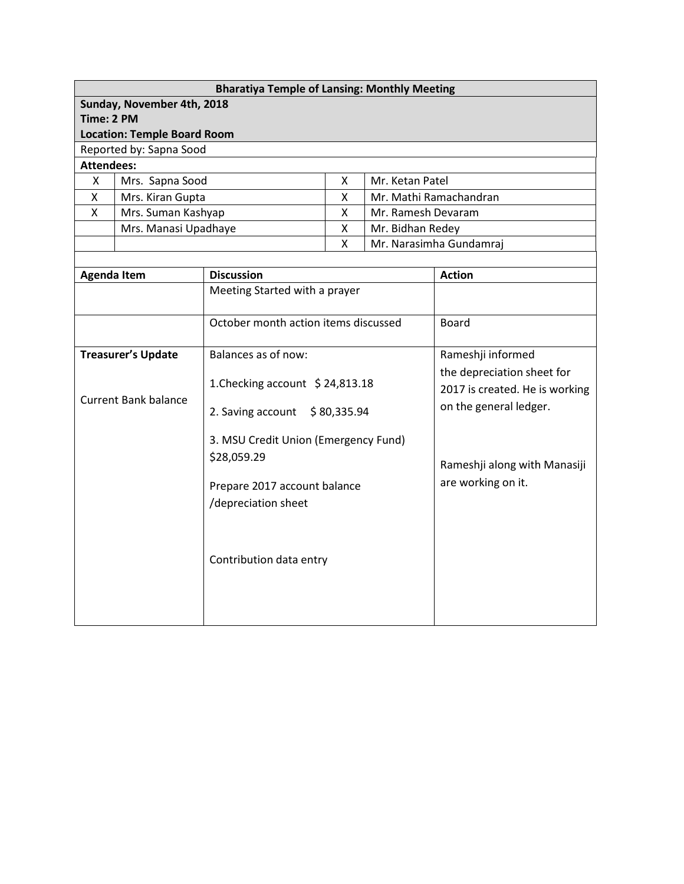| <b>Bharatiya Temple of Lansing: Monthly Meeting</b>           |                      |                                                                                                                                                                                                                                     |    |                                                                                                                                                                   |  |  |  |  |
|---------------------------------------------------------------|----------------------|-------------------------------------------------------------------------------------------------------------------------------------------------------------------------------------------------------------------------------------|----|-------------------------------------------------------------------------------------------------------------------------------------------------------------------|--|--|--|--|
| Sunday, November 4th, 2018                                    |                      |                                                                                                                                                                                                                                     |    |                                                                                                                                                                   |  |  |  |  |
| Time: 2 PM                                                    |                      |                                                                                                                                                                                                                                     |    |                                                                                                                                                                   |  |  |  |  |
| <b>Location: Temple Board Room</b><br>Reported by: Sapna Sood |                      |                                                                                                                                                                                                                                     |    |                                                                                                                                                                   |  |  |  |  |
| <b>Attendees:</b>                                             |                      |                                                                                                                                                                                                                                     |    |                                                                                                                                                                   |  |  |  |  |
| X                                                             | Mrs. Sapna Sood      |                                                                                                                                                                                                                                     | X. | Mr. Ketan Patel                                                                                                                                                   |  |  |  |  |
| X                                                             | Mrs. Kiran Gupta     |                                                                                                                                                                                                                                     | X. | Mr. Mathi Ramachandran                                                                                                                                            |  |  |  |  |
| X                                                             | Mrs. Suman Kashyap   |                                                                                                                                                                                                                                     | X. | Mr. Ramesh Devaram                                                                                                                                                |  |  |  |  |
|                                                               | Mrs. Manasi Upadhaye |                                                                                                                                                                                                                                     | X  | Mr. Bidhan Redey                                                                                                                                                  |  |  |  |  |
|                                                               |                      |                                                                                                                                                                                                                                     | X  | Mr. Narasimha Gundamraj                                                                                                                                           |  |  |  |  |
|                                                               |                      |                                                                                                                                                                                                                                     |    |                                                                                                                                                                   |  |  |  |  |
| <b>Agenda Item</b>                                            |                      | <b>Discussion</b>                                                                                                                                                                                                                   |    | <b>Action</b>                                                                                                                                                     |  |  |  |  |
|                                                               |                      | Meeting Started with a prayer                                                                                                                                                                                                       |    |                                                                                                                                                                   |  |  |  |  |
|                                                               |                      | October month action items discussed                                                                                                                                                                                                |    | <b>Board</b>                                                                                                                                                      |  |  |  |  |
| <b>Treasurer's Update</b><br><b>Current Bank balance</b>      |                      | Balances as of now:<br>1. Checking account \$24,813.18<br>2. Saving account<br>\$80,335.94<br>3. MSU Credit Union (Emergency Fund)<br>\$28,059.29<br>Prepare 2017 account balance<br>/depreciation sheet<br>Contribution data entry |    | Rameshji informed<br>the depreciation sheet for<br>2017 is created. He is working<br>on the general ledger.<br>Rameshji along with Manasiji<br>are working on it. |  |  |  |  |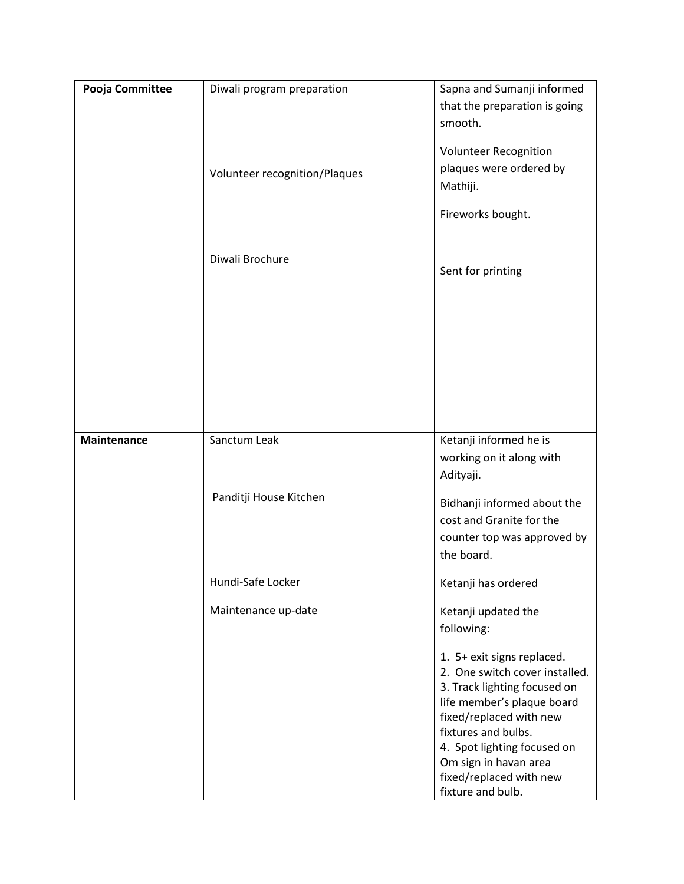| Pooja Committee    | Diwali program preparation    | Sapna and Sumanji informed<br>that the preparation is going<br>smooth.                                                                                                                                                                                                               |
|--------------------|-------------------------------|--------------------------------------------------------------------------------------------------------------------------------------------------------------------------------------------------------------------------------------------------------------------------------------|
|                    | Volunteer recognition/Plaques | <b>Volunteer Recognition</b><br>plaques were ordered by<br>Mathiji.                                                                                                                                                                                                                  |
|                    |                               | Fireworks bought.                                                                                                                                                                                                                                                                    |
|                    | Diwali Brochure               | Sent for printing                                                                                                                                                                                                                                                                    |
|                    |                               |                                                                                                                                                                                                                                                                                      |
|                    |                               |                                                                                                                                                                                                                                                                                      |
|                    |                               |                                                                                                                                                                                                                                                                                      |
| <b>Maintenance</b> | Sanctum Leak                  | Ketanji informed he is<br>working on it along with<br>Adityaji.                                                                                                                                                                                                                      |
|                    | Panditji House Kitchen        | Bidhanji informed about the<br>cost and Granite for the<br>counter top was approved by<br>the board.                                                                                                                                                                                 |
|                    | Hundi-Safe Locker             | Ketanji has ordered                                                                                                                                                                                                                                                                  |
|                    | Maintenance up-date           | Ketanji updated the<br>following:                                                                                                                                                                                                                                                    |
|                    |                               | 1. 5+ exit signs replaced.<br>2. One switch cover installed.<br>3. Track lighting focused on<br>life member's plaque board<br>fixed/replaced with new<br>fixtures and bulbs.<br>4. Spot lighting focused on<br>Om sign in havan area<br>fixed/replaced with new<br>fixture and bulb. |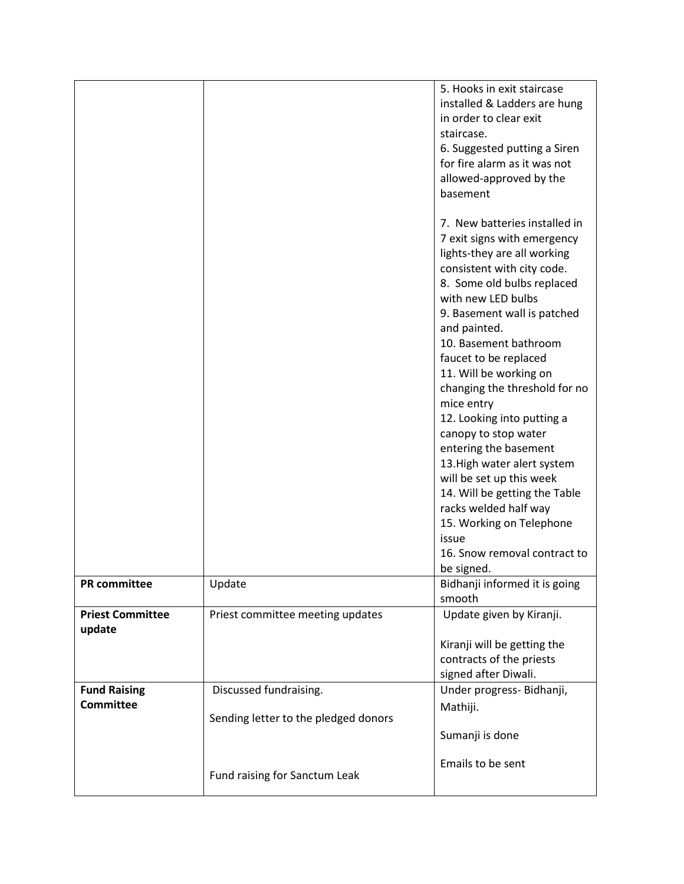|                         |                                      | 5. Hooks in exit staircase<br>installed & Ladders are hung<br>in order to clear exit<br>staircase.<br>6. Suggested putting a Siren<br>for fire alarm as it was not<br>allowed-approved by the<br>basement<br>7. New batteries installed in<br>7 exit signs with emergency<br>lights-they are all working<br>consistent with city code.<br>8. Some old bulbs replaced<br>with new LED bulbs<br>9. Basement wall is patched<br>and painted.<br>10. Basement bathroom<br>faucet to be replaced<br>11. Will be working on<br>changing the threshold for no<br>mice entry<br>12. Looking into putting a<br>canopy to stop water<br>entering the basement<br>13. High water alert system<br>will be set up this week<br>14. Will be getting the Table<br>racks welded half way<br>15. Working on Telephone<br>issue<br>16. Snow removal contract to |
|-------------------------|--------------------------------------|-----------------------------------------------------------------------------------------------------------------------------------------------------------------------------------------------------------------------------------------------------------------------------------------------------------------------------------------------------------------------------------------------------------------------------------------------------------------------------------------------------------------------------------------------------------------------------------------------------------------------------------------------------------------------------------------------------------------------------------------------------------------------------------------------------------------------------------------------|
|                         |                                      | be signed.                                                                                                                                                                                                                                                                                                                                                                                                                                                                                                                                                                                                                                                                                                                                                                                                                                    |
| <b>PR</b> committee     | Update                               | Bidhanji informed it is going<br>smooth                                                                                                                                                                                                                                                                                                                                                                                                                                                                                                                                                                                                                                                                                                                                                                                                       |
| <b>Priest Committee</b> | Priest committee meeting updates     | Update given by Kiranji.                                                                                                                                                                                                                                                                                                                                                                                                                                                                                                                                                                                                                                                                                                                                                                                                                      |
| update                  |                                      | Kiranji will be getting the<br>contracts of the priests<br>signed after Diwali.                                                                                                                                                                                                                                                                                                                                                                                                                                                                                                                                                                                                                                                                                                                                                               |
| <b>Fund Raising</b>     | Discussed fundraising.               | Under progress- Bidhanji,                                                                                                                                                                                                                                                                                                                                                                                                                                                                                                                                                                                                                                                                                                                                                                                                                     |
| <b>Committee</b>        | Sending letter to the pledged donors | Mathiji.                                                                                                                                                                                                                                                                                                                                                                                                                                                                                                                                                                                                                                                                                                                                                                                                                                      |
|                         |                                      | Sumanji is done                                                                                                                                                                                                                                                                                                                                                                                                                                                                                                                                                                                                                                                                                                                                                                                                                               |
|                         | Fund raising for Sanctum Leak        | Emails to be sent                                                                                                                                                                                                                                                                                                                                                                                                                                                                                                                                                                                                                                                                                                                                                                                                                             |